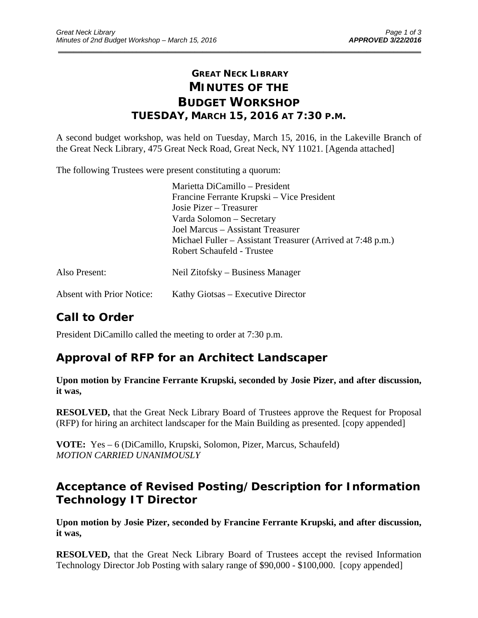## **GREAT NECK LIBRARY MINUTES OF THE BUDGET WORKSHOP TUESDAY, MARCH 15, 2016 AT 7:30 P.M.**

\_\_\_\_\_\_\_\_\_\_\_\_\_\_\_\_\_\_\_\_\_\_\_\_\_\_\_\_\_\_\_\_\_\_\_\_\_\_\_\_\_\_\_\_\_\_\_\_\_\_\_\_\_\_\_\_\_\_\_\_\_\_\_\_\_\_\_\_\_\_\_\_\_\_\_\_\_\_\_\_\_\_\_\_\_\_\_\_\_\_\_\_\_

A second budget workshop, was held on Tuesday, March 15, 2016, in the Lakeville Branch of the Great Neck Library, 475 Great Neck Road, Great Neck, NY 11021. [Agenda attached]

The following Trustees were present constituting a quorum:

|                                  | Marietta DiCamillo – President                              |
|----------------------------------|-------------------------------------------------------------|
|                                  | Francine Ferrante Krupski – Vice President                  |
|                                  | Josie Pizer – Treasurer                                     |
|                                  | Varda Solomon – Secretary                                   |
|                                  | Joel Marcus – Assistant Treasurer                           |
|                                  | Michael Fuller – Assistant Treasurer (Arrived at 7:48 p.m.) |
|                                  | Robert Schaufeld - Trustee                                  |
| Also Present:                    | Neil Zitofsky – Business Manager                            |
| <b>Absent with Prior Notice:</b> | Kathy Giotsas – Executive Director                          |

# **Call to Order**

President DiCamillo called the meeting to order at 7:30 p.m.

## **Approval of RFP for an Architect Landscaper**

#### **Upon motion by Francine Ferrante Krupski, seconded by Josie Pizer, and after discussion, it was,**

**RESOLVED,** that the Great Neck Library Board of Trustees approve the Request for Proposal (RFP) for hiring an architect landscaper for the Main Building as presented. [copy appended]

**VOTE:** Yes – 6 (DiCamillo, Krupski, Solomon, Pizer, Marcus, Schaufeld) *MOTION CARRIED UNANIMOUSLY* 

# **Acceptance of Revised Posting/Description for Information Technology IT Director**

**Upon motion by Josie Pizer, seconded by Francine Ferrante Krupski, and after discussion, it was,** 

**RESOLVED,** that the Great Neck Library Board of Trustees accept the revised Information Technology Director Job Posting with salary range of \$90,000 - \$100,000. [copy appended]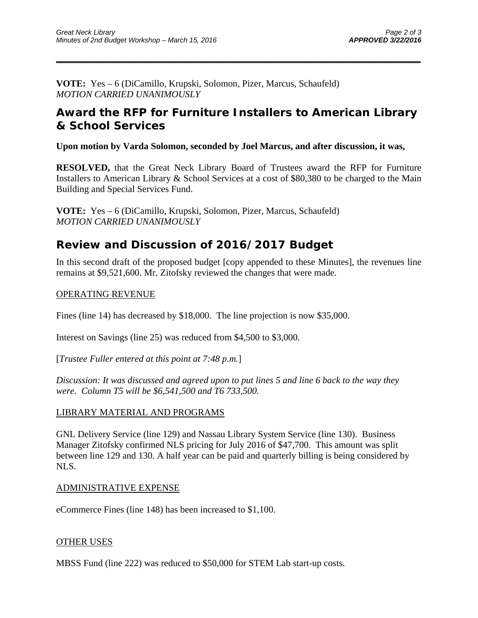**VOTE:** Yes – 6 (DiCamillo, Krupski, Solomon, Pizer, Marcus, Schaufeld) *MOTION CARRIED UNANIMOUSLY* 

### **Award the RFP for Furniture Installers to American Library & School Services**

 $\overline{\phantom{a}}$  , and the contract of the contract of the contract of the contract of the contract of the contract of the contract of the contract of the contract of the contract of the contract of the contract of the contrac

**Upon motion by Varda Solomon, seconded by Joel Marcus, and after discussion, it was,** 

**RESOLVED,** that the Great Neck Library Board of Trustees award the RFP for Furniture Installers to American Library & School Services at a cost of \$80,380 to be charged to the Main Building and Special Services Fund.

**VOTE:** Yes – 6 (DiCamillo, Krupski, Solomon, Pizer, Marcus, Schaufeld) *MOTION CARRIED UNANIMOUSLY* 

## **Review and Discussion of 2016/2017 Budget**

In this second draft of the proposed budget [copy appended to these Minutes], the revenues line remains at \$9,521,600. Mr. Zitofsky reviewed the changes that were made.

#### OPERATING REVENUE

Fines (line 14) has decreased by \$18,000. The line projection is now \$35,000.

Interest on Savings (line 25) was reduced from \$4,500 to \$3,000.

[*Trustee Fuller entered at this point at 7:48 p.m.*]

*Discussion: It was discussed and agreed upon to put lines 5 and line 6 back to the way they were. Column T5 will be \$6,541,500 and T6 733,500.* 

#### LIBRARY MATERIAL AND PROGRAMS

GNL Delivery Service (line 129) and Nassau Library System Service (line 130). Business Manager Zitofsky confirmed NLS pricing for July 2016 of \$47,700. This amount was split between line 129 and 130. A half year can be paid and quarterly billing is being considered by NLS.

#### ADMINISTRATIVE EXPENSE

eCommerce Fines (line 148) has been increased to \$1,100.

#### OTHER USES

MBSS Fund (line 222) was reduced to \$50,000 for STEM Lab start-up costs.